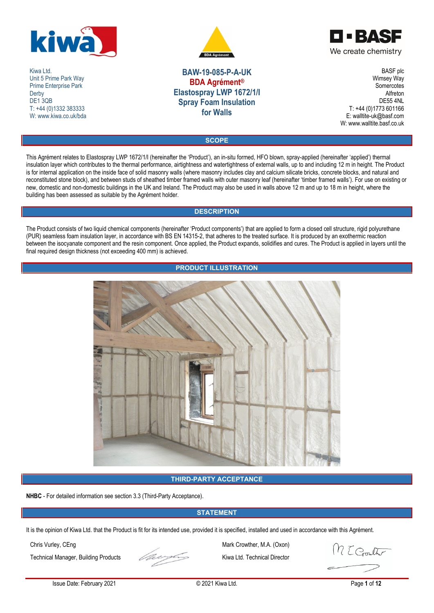

Kiwa Ltd. Unit 5 Prime Park Way Prime Enterprise Park **Derby** DE<sub>1</sub>3QB T: +44 (0)1332 383333 W: www.kiwa.co.uk/bda





**BAW-19-085-P-A-UK BDA Agrément® Elastospray LWP 1672/1/I Spray Foam Insulation for Walls**

BASF plc Wimsey Way **Somercotes** Alfreton DE55 4NL T: +44 (0)1773 601166 E: walltite-uk@basf.com W: www.walltite.basf.co.uk

**SCOPE**

This Agrément relates to Elastospray LWP 1672/1/I (hereinafter the 'Product'), an in-situ formed, HFO blown, spray-applied (hereinafter 'applied') thermal insulation layer which contributes to the thermal performance, airtightness and watertightness of external walls, up to and including 12 m in height. The Product is for internal application on the inside face of solid masonry walls (where masonry includes clay and calcium silicate bricks, concrete blocks, and natural and reconstituted stone block), and between studs of sheathed timber framed walls with outer masonry leaf (hereinafter 'timber framed walls'). For use on existing or new, domestic and non-domestic buildings in the UK and Ireland. The Product may also be used in walls above 12 m and up to 18 m in height, where the building has been assessed as suitable by the Agrément holder.

## **DESCRIPTION**

The Product consists of two liquid chemical components (hereinafter 'Product components') that are applied to form a closed cell structure, rigid polyurethane (PUR) seamless foam insulation layer, in accordance with BS EN 14315-2, that adheres to the treated surface. It is produced by an exothermic reaction between the isocyanate component and the resin component. Once applied, the Product expands, solidifies and cures. The Product is applied in layers until the final required design thickness (not exceeding 400 mm) is achieved.

## **PRODUCT ILLUSTRATION**



## **THIRD-PARTY ACCEPTANCE**

**NHBC** - For detailed information see section 3.3 (Third-Party Acceptance).

## **STATEMENT**

It is the opinion of Kiwa Ltd. that the Product is fit for its intended use, provided it is specified, installed and used in accordance with this Agrément.

Technical Manager, Building Products Kiwa Ltd. Technical Director



Chris Vurley, CEng Mark Crowther, M.A. (Oxon)<br>Technical Manager, Building Products Kiwa Ltd. Technical Director

M E Crouther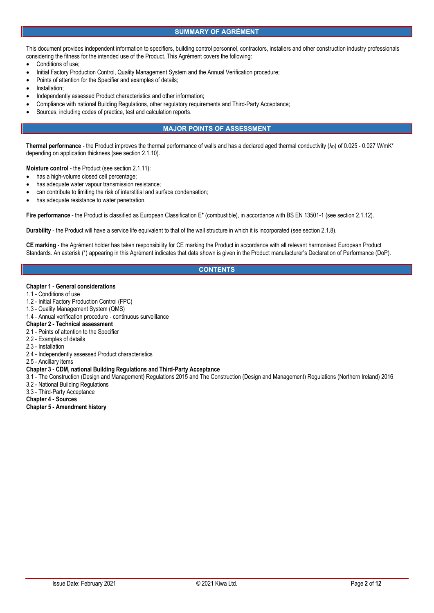## **SUMMARY OF AGRÉMENT**

This document provides independent information to specifiers, building control personnel, contractors, installers and other construction industry professionals considering the fitness for the intended use of the Product. This Agrément covers the following:

- Conditions of use;
- Initial Factory Production Control, Quality Management System and the Annual Verification procedure;
- Points of attention for the Specifier and examples of details;
- Installation;
- Independently assessed Product characteristics and other information;
- Compliance with national Building Regulations, other regulatory requirements and Third-Party Acceptance;
- Sources, including codes of practice, test and calculation reports.

## **MAJOR POINTS OF ASSESSMENT**

**Thermal performance** - the Product improves the thermal performance of walls and has a declared aged thermal conductivity  $(\lambda_D)$  of 0.025 - 0.027 W/mK\* depending on application thickness (see section 2.1.10).

**Moisture control** - the Product (see section 2.1.11):

- has a high-volume closed cell percentage;
- has adequate water vapour transmission resistance;
- can contribute to limiting the risk of interstitial and surface condensation;
- has adequate resistance to water penetration.

**Fire performance** - the Product is classified as European Classification E\* (combustible), in accordance with BS EN 13501-1 (see section 2.1.12).

**Durability** - the Product will have a service life equivalent to that of the wall structure in which it is incorporated (see section 2.1.8).

**CE marking** - the Agrément holder has taken responsibility for CE marking the Product in accordance with all relevant harmonised European Product Standards. An asterisk (\*) appearing in this Agrément indicates that data shown is given in the Product manufacturer's Declaration of Performance (DoP).

## **CONTENTS**

#### **Chapter 1 - General considerations**

- 1.1 Conditions of use
- 1.2 Initial Factory Production Control (FPC)
- 1.3 Quality Management System (QMS)
- 1.4 Annual verification procedure continuous surveillance

## **Chapter 2 - Technical assessment**

- 2.1 Points of attention to the Specifier
- 2.2 Examples of details
- 2.3 Installation
- 2.4 Independently assessed Product characteristics
- 2.5 Ancillary items

### **Chapter 3 - CDM, national Building Regulations and Third-Party Acceptance**

- 3.1 The Construction (Design and Management) Regulations 2015 and The Construction (Design and Management) Regulations (Northern Ireland) 2016 3.2 - National Building Regulations
- 3.3 Third-Party Acceptance
- **Chapter 4 - Sources**
- **Chapter 5 - Amendment history**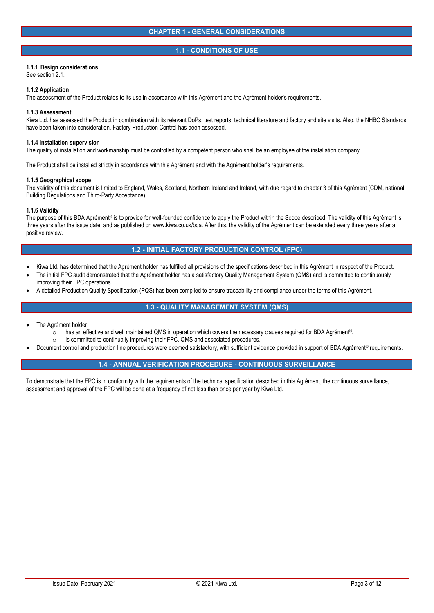### **1.1 - CONDITIONS OF USE**

## **1.1.1 Design considerations**

See section 2.1.

### **1.1.2 Application**

The assessment of the Product relates to its use in accordance with this Agrément and the Agrément holder's requirements.

#### **1.1.3 Assessment**

Kiwa Ltd. has assessed the Product in combination with its relevant DoPs, test reports, technical literature and factory and site visits. Also, the NHBC Standards have been taken into consideration. Factory Production Control has been assessed.

#### **1.1.4 Installation supervision**

The quality of installation and workmanship must be controlled by a competent person who shall be an employee of the installation company.

The Product shall be installed strictly in accordance with this Agrément and with the Agrément holder's requirements.

### **1.1.5 Geographical scope**

The validity of this document is limited to England, Wales, Scotland, Northern Ireland and Ireland, with due regard to chapter 3 of this Agrément (CDM, national Building Regulations and Third-Party Acceptance).

### **1.1.6 Validity**

The purpose of this BDA Agrément® is to provide for well-founded confidence to apply the Product within the Scope described. The validity of this Agrément is three years after the issue date, and as published on www.kiwa.co.uk/bda. After this, the validity of the Agrément can be extended every three years after a positive review.

## **1.2 - INITIAL FACTORY PRODUCTION CONTROL (FPC)**

- Kiwa Ltd. has determined that the Agrément holder has fulfilled all provisions of the specifications described in this Agrément in respect of the Product.
- The initial FPC audit demonstrated that the Agrément holder has a satisfactory Quality Management System (QMS) and is committed to continuously improving their FPC operations.
- A detailed Production Quality Specification (PQS) has been compiled to ensure traceability and compliance under the terms of this Agrément.

## **1.3 - QUALITY MANAGEMENT SYSTEM (QMS)**

- The Agrément holder:
	- o has an effective and well maintained QMS in operation which covers the necessary clauses required for BDA Agrément®.<br>○ is committed to continually improving their FPC. QMS and associated procedures.
	-
- is committed to continually improving their FPC, QMS and associated procedures.<br>Document control and production line procedures were deemed satisfactory, with sufficient evidence provided in support of BDA Agrément® req

## **1.4 - ANNUAL VERIFICATION PROCEDURE - CONTINUOUS SURVEILLANCE**

To demonstrate that the FPC is in conformity with the requirements of the technical specification described in this Agrément, the continuous surveillance, assessment and approval of the FPC will be done at a frequency of not less than once per year by Kiwa Ltd.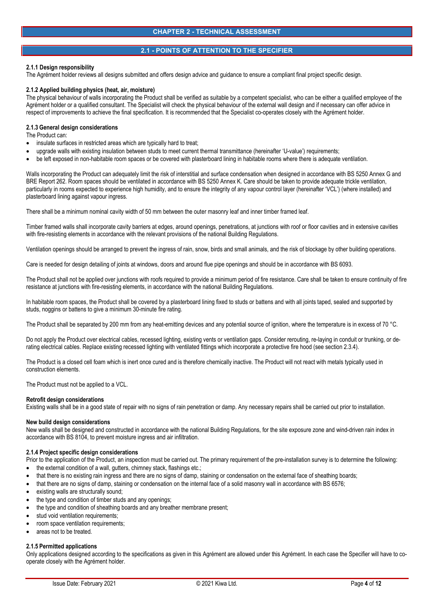## **2.1 - POINTS OF ATTENTION TO THE SPECIFIER**

### **2.1.1 Design responsibility**

The Agrément holder reviews all designs submitted and offers design advice and guidance to ensure a compliant final project specific design.

### **2.1.2 Applied building physics (heat, air, moisture)**

The physical behaviour of walls incorporating the Product shall be verified as suitable by a competent specialist, who can be either a qualified employee of the Agrément holder or a qualified consultant. The Specialist will check the physical behaviour of the external wall design and if necessary can offer advice in respect of improvements to achieve the final specification. It is recommended that the Specialist co-operates closely with the Agrément holder.

#### **2.1.3 General design considerations**

The Product can:

- insulate surfaces in restricted areas which are typically hard to treat;
- upgrade walls with existing insulation between studs to meet current thermal transmittance (hereinafter 'U-value') requirements;
- be left exposed in non-habitable room spaces or be covered with plasterboard lining in habitable rooms where there is adequate ventilation.

Walls incorporating the Product can adequately limit the risk of interstitial and surface condensation when designed in accordance with BS 5250 Annex G and BRE Report 262. Room spaces should be ventilated in accordance with BS 5250 Annex K. Care should be taken to provide adequate trickle ventilation, particularly in rooms expected to experience high humidity, and to ensure the integrity of any vapour control layer (hereinafter 'VCL') (where installed) and plasterboard lining against vapour ingress.

There shall be a minimum nominal cavity width of 50 mm between the outer masonry leaf and inner timber framed leaf.

Timber framed walls shall incorporate cavity barriers at edges, around openings, penetrations, at junctions with roof or floor cavities and in extensive cavities with fire-resisting elements in accordance with the relevant provisions of the national Building Regulations.

Ventilation openings should be arranged to prevent the ingress of rain, snow, birds and small animals, and the risk of blockage by other building operations.

Care is needed for design detailing of joints at windows, doors and around flue pipe openings and should be in accordance with BS 6093.

The Product shall not be applied over junctions with roofs required to provide a minimum period of fire resistance. Care shall be taken to ensure continuity of fire resistance at junctions with fire-resisting elements, in accordance with the national Building Regulations.

In habitable room spaces, the Product shall be covered by a plasterboard lining fixed to studs or battens and with all joints taped, sealed and supported by studs, noggins or battens to give a minimum 30-minute fire rating.

The Product shall be separated by 200 mm from any heat-emitting devices and any potential source of ignition, where the temperature is in excess of 70 °C.

Do not apply the Product over electrical cables, recessed lighting, existing vents or ventilation gaps. Consider rerouting, re-laying in conduit or trunking, or derating electrical cables. Replace existing recessed lighting with ventilated fittings which incorporate a protective fire hood (see section 2.3.4).

The Product is a closed cell foam which is inert once cured and is therefore chemically inactive. The Product will not react with metals typically used in construction elements.

The Product must not be applied to a VCL.

#### **Retrofit design considerations**

Existing walls shall be in a good state of repair with no signs of rain penetration or damp. Any necessary repairs shall be carried out prior to installation.

#### **New build design considerations**

New walls shall be designed and constructed in accordance with the national Building Regulations, for the site exposure zone and wind-driven rain index in accordance with BS 8104, to prevent moisture ingress and air infiltration.

#### **2.1.4 Project specific design considerations**

Prior to the application of the Product, an inspection must be carried out. The primary requirement of the pre-installation survey is to determine the following:

- the external condition of a wall, gutters, chimney stack, flashings etc.;
- that there is no existing rain ingress and there are no signs of damp, staining or condensation on the external face of sheathing boards;
- that there are no signs of damp, staining or condensation on the internal face of a solid masonry wall in accordance with BS 6576;
- existing walls are structurally sound;
- the type and condition of timber studs and any openings;
- the type and condition of sheathing boards and any breather membrane present;
- stud void ventilation requirements:
- room space ventilation requirements;
- areas not to be treated.

### **2.1.5 Permitted applications**

Only applications designed according to the specifications as given in this Agrément are allowed under this Agrément. In each case the Specifier will have to co operate closely with the Agrément holder.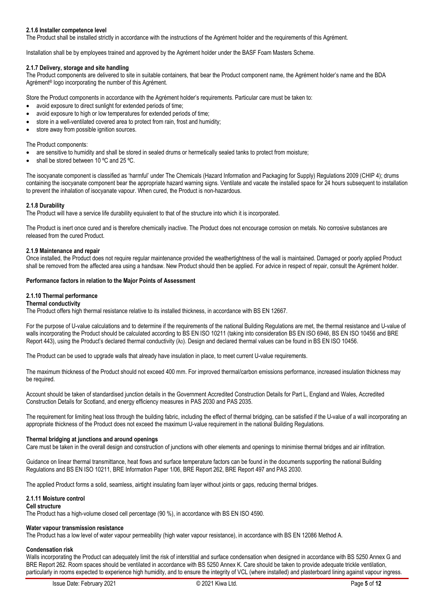## **2.1.6 Installer competence level**

The Product shall be installed strictly in accordance with the instructions of the Agrément holder and the requirements of this Agrément.

Installation shall be by employees trained and approved by the Agrément holder under the BASF Foam Masters Scheme.

### **2.1.7 Delivery, storage and site handling**

The Product components are delivered to site in suitable containers, that bear the Product component name, the Agrément holder's name and the BDA Agrément® logo incorporating the number of this Agrément.

Store the Product components in accordance with the Agrément holder's requirements. Particular care must be taken to:

- avoid exposure to direct sunlight for extended periods of time;
- avoid exposure to high or low temperatures for extended periods of time;
- store in a well-ventilated covered area to protect from rain, frost and humidity;
- store away from possible ignition sources.

#### The Product components:

- are sensitive to humidity and shall be stored in sealed drums or hermetically sealed tanks to protect from moisture;
- shall be stored between 10 ºC and 25 ºC.

The isocyanate component is classified as 'harmful' under The Chemicals (Hazard Information and Packaging for Supply) Regulations 2009 (CHIP 4); drums containing the isocyanate component bear the appropriate hazard warning signs. Ventilate and vacate the installed space for 24 hours subsequent to installation to prevent the inhalation of isocyanate vapour. When cured, the Product is non-hazardous.

### **2.1.8 Durability**

The Product will have a service life durability equivalent to that of the structure into which it is incorporated.

The Product is inert once cured and is therefore chemically inactive. The Product does not encourage corrosion on metals. No corrosive substances are released from the cured Product.

### **2.1.9 Maintenance and repair**

Once installed, the Product does not require regular maintenance provided the weathertightness of the wall is maintained. Damaged or poorly applied Product shall be removed from the affected area using a handsaw. New Product should then be applied. For advice in respect of repair, consult the Agrément holder.

### **Performance factors in relation to the Major Points of Assessment**

### **2.1.10 Thermal performance**

### **Thermal conductivity**

The Product offers high thermal resistance relative to its installed thickness, in accordance with BS EN 12667.

For the purpose of U-value calculations and to determine if the requirements of the national Building Regulations are met, the thermal resistance and U-value of walls incorporating the Product should be calculated according to BS EN ISO 10211 (taking into consideration BS EN ISO 6946, BS EN ISO 10456 and BRE Report 443), using the Product's declared thermal conductivity  $(\lambda_D)$ . Design and declared thermal values can be found in BS EN ISO 10456.

The Product can be used to upgrade walls that already have insulation in place, to meet current U-value requirements.

The maximum thickness of the Product should not exceed 400 mm. For improved thermal/carbon emissions performance, increased insulation thickness may be required.

Account should be taken of standardised junction details in the Government Accredited Construction Details for Part L, England and Wales, Accredited Construction Details for Scotland, and energy efficiency measures in PAS 2030 and PAS 2035.

The requirement for limiting heat loss through the building fabric, including the effect of thermal bridging, can be satisfied if the U-value of a wall incorporating an appropriate thickness of the Product does not exceed the maximum U-value requirement in the national Building Regulations.

### **Thermal bridging at junctions and around openings**

Care must be taken in the overall design and construction of junctions with other elements and openings to minimise thermal bridges and air infiltration.

Guidance on linear thermal transmittance, heat flows and surface temperature factors can be found in the documents supporting the national Building Regulations and BS EN ISO 10211, BRE Information Paper 1/06, BRE Report 262, BRE Report 497 and PAS 2030.

The applied Product forms a solid, seamless, airtight insulating foam layer without joints or gaps, reducing thermal bridges.

## **2.1.11 Moisture control**

### **Cell structure**

The Product has a high-volume closed cell percentage (90 %), in accordance with BS EN ISO 4590.

#### **Water vapour transmission resistance**

The Product has a low level of water vapour permeability (high water vapour resistance), in accordance with BS EN 12086 Method A.

#### **Condensation risk**

Walls incorporating the Product can adequately limit the risk of interstitial and surface condensation when designed in accordance with BS 5250 Annex G and BRE Report 262. Room spaces should be ventilated in accordance with BS 5250 Annex K. Care should be taken to provide adequate trickle ventilation, particularly in rooms expected to experience high humidity, and to ensure the integrity of VCL (where installed) and plasterboard lining against vapour ingress.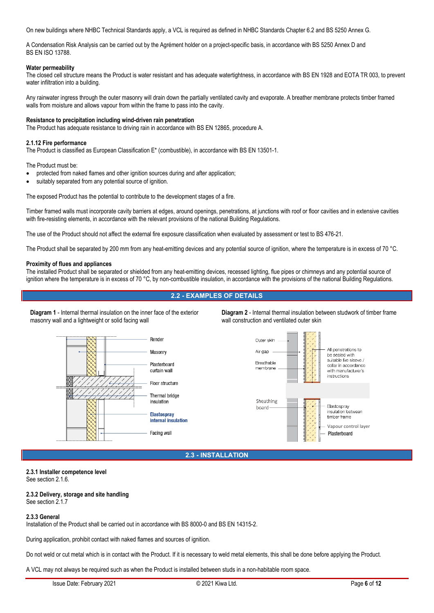On new buildings where NHBC Technical Standards apply, a VCL is required as defined in NHBC Standards Chapter 6.2 and BS 5250 Annex G.

A Condensation Risk Analysis can be carried out by the Agrément holder on a project-specific basis, in accordance with BS 5250 Annex D and BS EN ISO 13788.

### **Water permeability**

The closed cell structure means the Product is water resistant and has adequate watertightness, in accordance with BS EN 1928 and EOTA TR 003, to prevent water infiltration into a building.

Any rainwater ingress through the outer masonry will drain down the partially ventilated cavity and evaporate. A breather membrane protects timber framed walls from moisture and allows vapour from within the frame to pass into the cavity.

### **Resistance to precipitation including wind-driven rain penetration**

The Product has adequate resistance to driving rain in accordance with BS EN 12865, procedure A.

### **2.1.12 Fire performance**

The Product is classified as European Classification E\* (combustible), in accordance with BS EN 13501-1.

The Product must be:

- protected from naked flames and other ignition sources during and after application;
- suitably separated from any potential source of ignition.

The exposed Product has the potential to contribute to the development stages of a fire.

Timber framed walls must incorporate cavity barriers at edges, around openings, penetrations, at junctions with roof or floor cavities and in extensive cavities with fire-resisting elements, in accordance with the relevant provisions of the national Building Regulations.

The use of the Product should not affect the external fire exposure classification when evaluated by assessment or test to BS 476-21.

The Product shall be separated by 200 mm from any heat-emitting devices and any potential source of ignition, where the temperature is in excess of 70 °C.

#### **Proximity of flues and appliances**

The installed Product shall be separated or shielded from any heat-emitting devices, recessed lighting, flue pipes or chimneys and any potential source of ignition where the temperature is in excess of 70 °C, by non-combustible insulation, in accordance with the provisions of the national Building Regulations.

## **2.2 - EXAMPLES OF DETAILS**

**Diagram 1** - Internal thermal insulation on the inner face of the exterior masonry wall and a lightweight or solid facing wall

**Diagram 2** - Internal thermal insulation between studwork of timber frame wall construction and ventilated outer skin





**2.3 - INSTALLATION**

### **2.3.1 Installer competence level** See section 2.1.6.

## **2.3.2 Delivery, storage and site handling**

See section 2.1.7

### **2.3.3 General**

Installation of the Product shall be carried out in accordance with BS 8000-0 and BS EN 14315-2.

During application, prohibit contact with naked flames and sources of ignition.

Do not weld or cut metal which is in contact with the Product. If it is necessary to weld metal elements, this shall be done before applying the Product.

A VCL may not always be required such as when the Product is installed between studs in a non-habitable room space.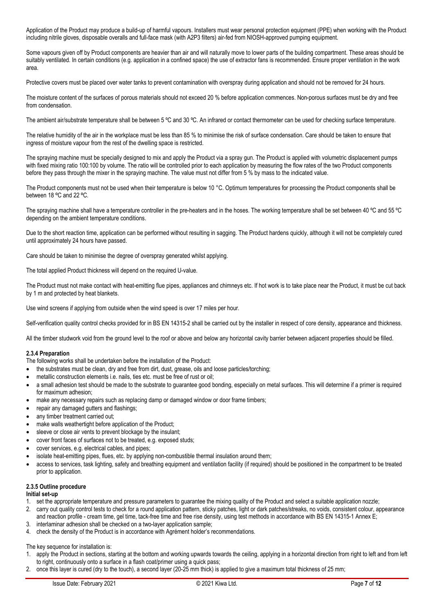Application of the Product may produce a build-up of harmful vapours. Installers must wear personal protection equipment (PPE) when working with the Product including nitrile gloves, disposable overalls and full-face mask (with A2P3 filters) air-fed from NIOSH-approved pumping equipment.

Some vapours given off by Product components are heavier than air and will naturally move to lower parts of the building compartment. These areas should be suitably ventilated. In certain conditions (e.g. application in a confined space) the use of extractor fans is recommended. Ensure proper ventilation in the work area.

Protective covers must be placed over water tanks to prevent contamination with overspray during application and should not be removed for 24 hours.

The moisture content of the surfaces of porous materials should not exceed 20 % before application commences. Non-porous surfaces must be dry and free from condensation.

The ambient air/substrate temperature shall be between 5 °C and 30 °C. An infrared or contact thermometer can be used for checking surface temperature.

The relative humidity of the air in the workplace must be less than 85 % to minimise the risk of surface condensation. Care should be taken to ensure that ingress of moisture vapour from the rest of the dwelling space is restricted.

The spraying machine must be specially designed to mix and apply the Product via a spray gun. The Product is applied with volumetric displacement pumps with fixed mixing ratio 100:100 by volume. The ratio will be controlled prior to each application by measuring the flow rates of the two Product components before they pass through the mixer in the spraying machine. The value must not differ from 5 % by mass to the indicated value.

The Product components must not be used when their temperature is below 10 °C. Optimum temperatures for processing the Product components shall be between 18 °C and 22 °C.

The spraying machine shall have a temperature controller in the pre-heaters and in the hoses. The working temperature shall be set between 40 °C and 55 °C depending on the ambient temperature conditions.

Due to the short reaction time, application can be performed without resulting in sagging. The Product hardens quickly, although it will not be completely cured until approximately 24 hours have passed.

Care should be taken to minimise the degree of overspray generated whilst applying.

The total applied Product thickness will depend on the required U-value.

The Product must not make contact with heat-emitting flue pipes, appliances and chimneys etc. If hot work is to take place near the Product, it must be cut back by 1 m and protected by heat blankets.

Use wind screens if applying from outside when the wind speed is over 17 miles per hour.

Self-verification quality control checks provided for in BS EN 14315-2 shall be carried out by the installer in respect of core density, appearance and thickness.

All the timber studwork void from the ground level to the roof or above and below any horizontal cavity barrier between adjacent properties should be filled.

### **2.3.4 Preparation**

The following works shall be undertaken before the installation of the Product:

- the substrates must be clean, dry and free from dirt, dust, grease, oils and loose particles/torching;
- metallic construction elements i.e. nails, ties etc. must be free of rust or oil;
- a small adhesion test should be made to the substrate to guarantee good bonding, especially on metal surfaces. This will determine if a primer is required for maximum adhesion;
- make any necessary repairs such as replacing damp or damaged window or door frame timbers;
- repair any damaged gutters and flashings;
- any timber treatment carried out;
- make walls weathertight before application of the Product;
- sleeve or close air vents to prevent blockage by the insulant;
- cover front faces of surfaces not to be treated, e.g. exposed studs;
- cover services, e.g. electrical cables, and pipes;
- isolate heat-emitting pipes, flues, etc. by applying non-combustible thermal insulation around them;
- access to services, task lighting, safety and breathing equipment and ventilation facility (if required) should be positioned in the compartment to be treated prior to application.

## **2.3.5 Outline procedure**

## **Initial set-up**

- 1. set the appropriate temperature and pressure parameters to guarantee the mixing quality of the Product and select a suitable application nozzle;
- 2. carry out quality control tests to check for a round application pattern, sticky patches, light or dark patches/streaks, no voids, consistent colour, appearance and reaction profile - cream time, gel time, tack-free time and free rise density, using test methods in accordance with BS EN 14315-1 Annex E;
- 3. interlaminar adhesion shall be checked on a two-layer application sample;
- 4. check the density of the Product is in accordance with Agrément holder's recommendations.

The key sequence for installation is:

- 1. apply the Product in sections, starting at the bottom and working upwards towards the ceiling, applying in a horizontal direction from right to left and from left to right, continuously onto a surface in a flash coat/primer using a quick pass;
- 2. once this layer is cured (dry to the touch), a second layer (20-25 mm thick) is applied to give a maximum total thickness of 25 mm;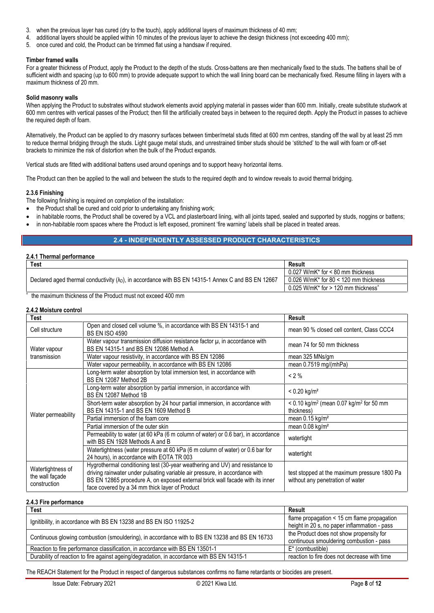- 3. when the previous layer has cured (dry to the touch), apply additional layers of maximum thickness of 40 mm;
- 4. additional layers should be applied within 10 minutes of the previous layer to achieve the design thickness (not exceeding 400 mm);
- 5. once cured and cold, the Product can be trimmed flat using a handsaw if required.

#### **Timber framed walls**

For a greater thickness of Product, apply the Product to the depth of the studs. Cross-battens are then mechanically fixed to the studs. The battens shall be of sufficient width and spacing (up to 600 mm) to provide adequate support to which the wall lining board can be mechanically fixed. Resume filling in layers with a maximum thickness of 20 mm.

#### **Solid masonry walls**

When applying the Product to substrates without studwork elements avoid applying material in passes wider than 600 mm. Initially, create substitute studwork at 600 mm centres with vertical passes of the Product; then fill the artificially created bays in between to the required depth. Apply the Product in passes to achieve the required depth of foam.

Alternatively, the Product can be applied to dry masonry surfaces between timber/metal studs fitted at 600 mm centres, standing off the wall by at least 25 mm to reduce thermal bridging through the studs. Light gauge metal studs, and unrestrained timber studs should be 'stitched' to the wall with foam or off-set brackets to minimize the risk of distortion when the bulk of the Product expands.

Vertical studs are fitted with additional battens used around openings and to support heavy horizontal items.

The Product can then be applied to the wall and between the studs to the required depth and to window reveals to avoid thermal bridging.

### **2.3.6 Finishing**

The following finishing is required on completion of the installation:

- the Product shall be cured and cold prior to undertaking any finishing work;
- in habitable rooms, the Product shall be covered by a VCL and plasterboard lining, with all joints taped, sealed and supported by studs, noggins or battens;
- in non-habitable room spaces where the Product is left exposed, prominent 'fire warning' labels shall be placed in treated areas.

## **2.4 - INDEPENDENTLY ASSESSED PRODUCT CHARACTERISTICS**

## **2.4.1 Thermal performance**

| <b>Test</b>                                                                                                 | Result                                                               |
|-------------------------------------------------------------------------------------------------------------|----------------------------------------------------------------------|
|                                                                                                             | $0.027$ W/mK* for < 80 mm thickness                                  |
| Declared aged thermal conductivity $(\lambda_D)$ , in accordance with BS EN 14315-1 Annex C and BS EN 12667 | 0.026 W/mK* for 80 < 120 mm thickness                                |
|                                                                                                             | $0.025$ W/mK* for > 120 mm thickness <sup><math>\hat{ }</math></sup> |

^ the maximum thickness of the Product must not exceed 400 mm

### **2.4.2 Moisture control**

| Test                                                 |                                                                                                                                                                                                                                                                                                | Result                                                                           |  |
|------------------------------------------------------|------------------------------------------------------------------------------------------------------------------------------------------------------------------------------------------------------------------------------------------------------------------------------------------------|----------------------------------------------------------------------------------|--|
| Cell structure                                       | Open and closed cell volume %, in accordance with BS EN 14315-1 and<br><b>BS EN ISO 4590</b>                                                                                                                                                                                                   | mean 90 % closed cell content, Class CCC4                                        |  |
| Water vapour                                         | Water vapour transmission diffusion resistance factor $\mu$ , in accordance with<br>BS EN 14315-1 and BS EN 12086 Method A                                                                                                                                                                     | mean 74 for 50 mm thickness                                                      |  |
| transmission                                         | Water vapour resistivity, in accordance with BS EN 12086                                                                                                                                                                                                                                       | mean 325 MNs/gm                                                                  |  |
|                                                      | Water vapour permeability, in accordance with BS EN 12086                                                                                                                                                                                                                                      | mean $0.7519$ mg/(mhPa)                                                          |  |
| Water permeability                                   | Long-term water absorption by total immersion test, in accordance with<br>BS EN 12087 Method 2B                                                                                                                                                                                                | $< 2 \%$                                                                         |  |
|                                                      | Long-term water absorption by partial immersion, in accordance with<br>BS EN 12087 Method 1B                                                                                                                                                                                                   | $< 0.20$ kg/m <sup>2</sup>                                                       |  |
|                                                      | Short-term water absorption by 24 hour partial immersion, in accordance with<br>BS EN 14315-1 and BS EN 1609 Method B                                                                                                                                                                          | < $0.10 \text{ kg/m}^2$ (mean 0.07 kg/m <sup>2</sup> for 50 mm<br>thickness)     |  |
|                                                      | Partial immersion of the foam core                                                                                                                                                                                                                                                             | mean $0.15$ kg/m <sup>2</sup>                                                    |  |
|                                                      | Partial immersion of the outer skin                                                                                                                                                                                                                                                            | mean $0.08$ kg/m <sup>2</sup>                                                    |  |
|                                                      | Permeability to water (at 60 kPa (6 m column of water) or 0.6 bar), in accordance<br>with BS EN 1928 Methods A and B                                                                                                                                                                           | watertight                                                                       |  |
|                                                      | Watertightness (water pressure at 60 kPa (6 m column of water) or 0.6 bar for<br>24 hours), in accordance with EOTA TR 003                                                                                                                                                                     | watertight                                                                       |  |
| Watertightness of<br>the wall façade<br>construction | Hygrothermal conditioning test (30-year weathering and UV) and resistance to<br>driving rainwater under pulsating variable air pressure, in accordance with<br>BS EN 12865 procedure A, on exposed external brick wall facade with its inner<br>face covered by a 34 mm thick layer of Product | test stopped at the maximum pressure 1800 Pa<br>without any penetration of water |  |

#### **2.4.3 Fire performance**

| <b>Test</b>                                                                                    | Result                                           |  |
|------------------------------------------------------------------------------------------------|--------------------------------------------------|--|
| Ignitibility, in accordance with BS EN 13238 and BS EN ISO 11925-2                             | flame propagation $\leq$ 15 cm flame propagation |  |
|                                                                                                | height in 20 s, no paper inflammation - pass     |  |
| Continuous glowing combustion (smouldering), in accordance with to BS EN 13238 and BS EN 16733 | the Product does not show propensity for         |  |
|                                                                                                | continuous smouldering combustion - pass         |  |
| Reaction to fire performance classification, in accordance with BS EN 13501-1                  | $E^*$ (combustible)                              |  |
| Durability of reaction to fire against ageing/degradation, in accordance with BS EN 14315-1    | reaction to fire does not decrease with time     |  |

The REACH Statement for the Product in respect of dangerous substances confirms no flame retardants or biocides are present.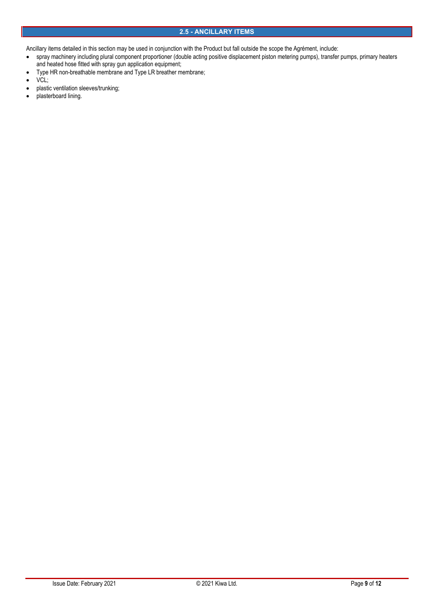Ancillary items detailed in this section may be used in conjunction with the Product but fall outside the scope the Agrément, include:

- spray machinery including plural component proportioner (double acting positive displacement piston metering pumps), transfer pumps, primary heaters and heated hose fitted with spray gun application equipment;
- Type HR non-breathable membrane and Type LR breather membrane;
- VCL;
- plastic ventilation sleeves/trunking;
- plasterboard lining.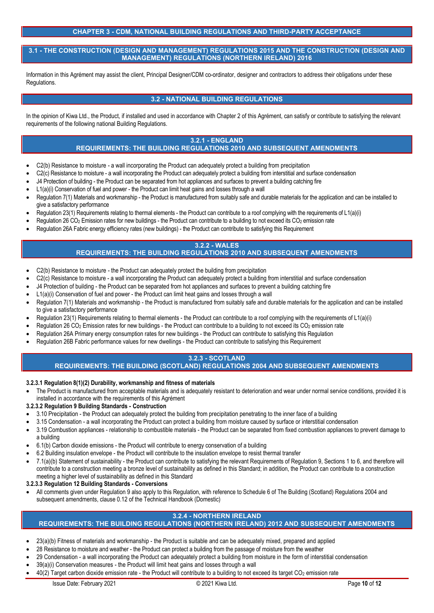## **CHAPTER 3 - CDM, NATIONAL BUILDING REGULATIONS AND THIRD-PARTY ACCEPTANCE**

**3.1 - THE CONSTRUCTION (DESIGN AND MANAGEMENT) REGULATIONS 2015 AND THE CONSTRUCTION (DESIGN AND MANAGEMENT) REGULATIONS (NORTHERN IRELAND) 2016**

Information in this Agrément may assist the client, Principal Designer/CDM co-ordinator, designer and contractors to address their obligations under these Regulations.

## **3.2 - NATIONAL BUILDING REGULATIONS**

In the opinion of Kiwa Ltd., the Product, if installed and used in accordance with Chapter 2 of this Agrément, can satisfy or contribute to satisfying the relevant requirements of the following national Building Regulations.

## **3.2.1 - ENGLAND**

## **REQUIREMENTS: THE BUILDING REGULATIONS 2010 AND SUBSEQUENT AMENDMENTS**

- C2(b) Resistance to moisture a wall incorporating the Product can adequately protect a building from precipitation
- C2(c) Resistance to moisture a wall incorporating the Product can adequately protect a building from interstitial and surface condensation
- J4 Protection of building the Product can be separated from hot appliances and surfaces to prevent a building catching fire
- L1(a)(i) Conservation of fuel and power the Product can limit heat gains and losses through a wall
- Regulation 7(1) Materials and workmanship the Product is manufactured from suitably safe and durable materials for the application and can be installed to give a satisfactory performance
- Regulation 23(1) Requirements relating to thermal elements the Product can contribute to a roof complying with the requirements of L1(a)(i)
- Regulation 26 CO<sub>2</sub> Emission rates for new buildings the Product can contribute to a building to not exceed its CO<sub>2</sub> emission rate
- Regulation 26A Fabric energy efficiency rates (new buildings) the Product can contribute to satisfying this Requirement

#### **3.2.2 - WALES REQUIREMENTS: THE BUILDING REGULATIONS 2010 AND SUBSEQUENT AMENDMENTS**

- C2(b) Resistance to moisture the Product can adequately protect the building from precipitation
- C2(c) Resistance to moisture a wall incorporating the Product can adequately protect a building from interstitial and surface condensation
- J4 Protection of building the Product can be separated from hot appliances and surfaces to prevent a building catching fire
- L1(a)(i) Conservation of fuel and power the Product can limit heat gains and losses through a wall
- Regulation 7(1) Materials and workmanship the Product is manufactured from suitably safe and durable materials for the application and can be installed to give a satisfactory performance
- Regulation 23(1) Requirements relating to thermal elements the Product can contribute to a roof complying with the requirements of L1(a)(i)
- Regulation 26 CO<sub>2</sub> Emission rates for new buildings the Product can contribute to a building to not exceed its CO<sub>2</sub> emission rate
- Regulation 26A Primary energy consumption rates for new buildings the Product can contribute to satisfying this Regulation
- Regulation 26B Fabric performance values for new dwellings the Product can contribute to satisfying this Requirement

## **3.2.3 - SCOTLAND**

## **REQUIREMENTS: THE BUILDING (SCOTLAND) REGULATIONS 2004 AND SUBSEQUENT AMENDMENTS**

- **3.2.3.1 Regulation 8(1)(2) Durability, workmanship and fitness of materials**
- The Product is manufactured from acceptable materials and is adequately resistant to deterioration and wear under normal service conditions, provided it is installed in accordance with the requirements of this Agrément
- **3.2.3.2 Regulation 9 Building Standards - Construction**
- 3.10 Precipitation the Product can adequately protect the building from precipitation penetrating to the inner face of a building
- 3.15 Condensation a wall incorporating the Product can protect a building from moisture caused by surface or interstitial condensation
- 3.19 Combustion appliances relationship to combustible materials the Product can be separated from fixed combustion appliances to prevent damage to a building
- 6.1(b) Carbon dioxide emissions the Product will contribute to energy conservation of a building
- 6.2 Building insulation envelope the Product will contribute to the insulation envelope to resist thermal transfer
- 7.1(a)(b) Statement of sustainability the Product can contribute to satisfying the relevant Requirements of Regulation 9, Sections 1 to 6, and therefore will contribute to a construction meeting a bronze level of sustainability as defined in this Standard; in addition, the Product can contribute to a construction meeting a higher level of sustainability as defined in this Standard

**3.2.3.3 Regulation 12 Building Standards - Conversions**

 All comments given under Regulation 9 also apply to this Regulation, with reference to Schedule 6 of The Building (Scotland) Regulations 2004 and subsequent amendments, clause 0.12 of the Technical Handbook (Domestic)

# **3.2.4 - NORTHERN IRELAND**

## **REQUIREMENTS: THE BUILDING REGULATIONS (NORTHERN IRELAND) 2012 AND SUBSEQUENT AMENDMENTS**

- 23(a)(b) Fitness of materials and workmanship the Product is suitable and can be adequately mixed, prepared and applied
- 28 Resistance to moisture and weather the Product can protect a building from the passage of moisture from the weather
- 29 Condensation a wall incorporating the Product can adequately protect a building from moisture in the form of interstitial condensation
- 39(a)(i) Conservation measures the Product will limit heat gains and losses through a wall
- 40(2) Target carbon dioxide emission rate the Product will contribute to a building to not exceed its target CO<sub>2</sub> emission rate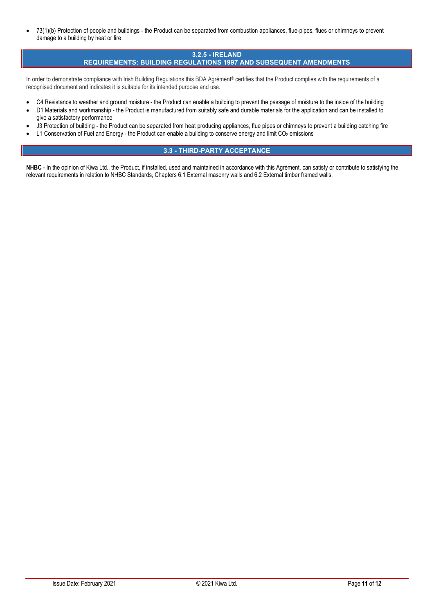• 73(1)(b) Protection of people and buildings - the Product can be separated from combustion appliances, flue-pipes, flues or chimneys to prevent damage to a building by heat or fire

#### **3.2.5 - IRELAND REQUIREMENTS: BUILDING REGULATIONS 1997 AND SUBSEQUENT AMENDMENTS**

In order to demonstrate compliance with Irish Building Regulations this BDA Agrément® certifies that the Product complies with the requirements of a recognised document and indicates it is suitable for its intended purpose and use.

- C4 Resistance to weather and ground moisture the Product can enable a building to prevent the passage of moisture to the inside of the building
- D1 Materials and workmanship the Product is manufactured from suitably safe and durable materials for the application and can be installed to give a satisfactory performance
- J3 Protection of building the Product can be separated from heat producing appliances, flue pipes or chimneys to prevent a building catching fire
- L1 Conservation of Fuel and Energy the Product can enable a building to conserve energy and limit CO<sub>2</sub> emissions

## **3.3 - THIRD-PARTY ACCEPTANCE**

**NHBC** - In the opinion of Kiwa Ltd., the Product, if installed, used and maintained in accordance with this Agrément, can satisfy or contribute to satisfying the relevant requirements in relation to NHBC Standards, Chapters 6.1 External masonry walls and 6.2 External timber framed walls.